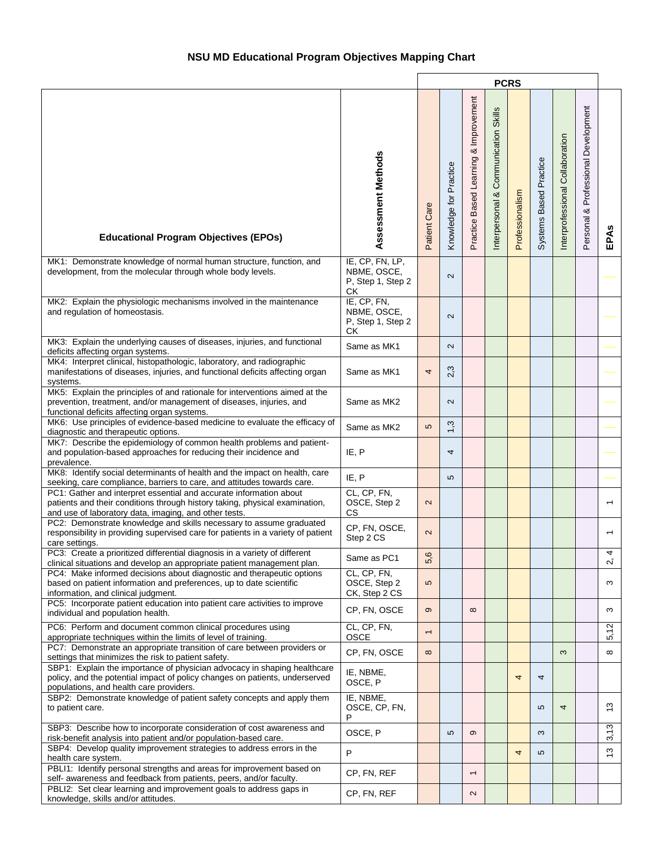|                                                                                                                                                                                                            |                                                           |                          | <b>PCRS</b>            |                                       |                                                   |                 |                        |                                 |                                           |                        |  |
|------------------------------------------------------------------------------------------------------------------------------------------------------------------------------------------------------------|-----------------------------------------------------------|--------------------------|------------------------|---------------------------------------|---------------------------------------------------|-----------------|------------------------|---------------------------------|-------------------------------------------|------------------------|--|
| <b>Educational Program Objectives (EPOs)</b>                                                                                                                                                               | Assessment Methods                                        | Patient Care             | Knowledge for Practice | Practice Based Learning & Improvement | <b>Skills</b><br>Communication<br>Interpersonal & | Professionalism | Systems Based Practice | Interprofessional Collaboration | Professional Development<br>ऌ<br>Personal | EPAS                   |  |
| MK1: Demonstrate knowledge of normal human structure, function, and<br>development, from the molecular through whole body levels.                                                                          | IE, CP, FN, LP,<br>NBME, OSCE,<br>P, Step 1, Step 2<br>СK |                          | $\sim$                 |                                       |                                                   |                 |                        |                                 |                                           |                        |  |
| MK2: Explain the physiologic mechanisms involved in the maintenance<br>and regulation of homeostasis.                                                                                                      | IE, CP, FN,<br>NBME, OSCE,<br>P, Step 1, Step 2<br>СK     |                          | $\sim$                 |                                       |                                                   |                 |                        |                                 |                                           |                        |  |
| MK3: Explain the underlying causes of diseases, injuries, and functional<br>deficits affecting organ systems.                                                                                              | Same as MK1                                               |                          | $\sim$                 |                                       |                                                   |                 |                        |                                 |                                           |                        |  |
| MK4: Interpret clinical, histopathologic, laboratory, and radiographic<br>manifestations of diseases, injuries, and functional deficits affecting organ<br>systems.                                        | Same as MK1                                               | 4                        | 2,3                    |                                       |                                                   |                 |                        |                                 |                                           |                        |  |
| MK5: Explain the principles of and rationale for interventions aimed at the<br>prevention, treatment, and/or management of diseases, injuries, and<br>functional deficits affecting organ systems.         | Same as MK2                                               |                          | $\sim$                 |                                       |                                                   |                 |                        |                                 |                                           |                        |  |
| MK6: Use principles of evidence-based medicine to evaluate the efficacy of<br>diagnostic and therapeutic options.                                                                                          | Same as MK2                                               | 5                        | $\omega$               |                                       |                                                   |                 |                        |                                 |                                           |                        |  |
| MK7: Describe the epidemiology of common health problems and patient-<br>and population-based approaches for reducing their incidence and<br>prevalence.                                                   | IE, P                                                     |                          | 4                      |                                       |                                                   |                 |                        |                                 |                                           |                        |  |
| MK8: Identify social determinants of health and the impact on health, care<br>seeking, care compliance, barriers to care, and attitudes towards care.                                                      | IE, P                                                     |                          | LO.                    |                                       |                                                   |                 |                        |                                 |                                           |                        |  |
| PC1: Gather and interpret essential and accurate information about<br>patients and their conditions through history taking, physical examination,<br>and use of laboratory data, imaging, and other tests. | CL, CP, FN,<br>OSCE, Step 2<br><b>CS</b>                  | $\sim$                   |                        |                                       |                                                   |                 |                        |                                 |                                           |                        |  |
| PC2: Demonstrate knowledge and skills necessary to assume graduated<br>responsibility in providing supervised care for patients in a variety of patient<br>care settings.                                  | CP, FN, OSCE,<br>Step 2 CS                                | $\sim$                   |                        |                                       |                                                   |                 |                        |                                 |                                           |                        |  |
| PC3: Create a prioritized differential diagnosis in a variety of different<br>clinical situations and develop an appropriate patient management plan.                                                      | Same as PC1                                               | $\circ$<br>$\frac{6}{5}$ |                        |                                       |                                                   |                 |                        |                                 |                                           | 4<br>$\mathcal{L}$     |  |
| PC4: Make informed decisions about diagnostic and therapeutic options<br>based on patient information and preferences, up to date scientific<br>information, and clinical judgment.                        | CL, CP, FN,<br>OSCE, Step 2<br>CK, Step 2 CS              | 5                        |                        |                                       |                                                   |                 |                        |                                 |                                           | $\infty$               |  |
| PC5: Incorporate patient education into patient care activities to improve<br>individual and population health.                                                                                            | CP, FN, OSCE                                              | $\sigma$                 |                        | $\infty$                              |                                                   |                 |                        |                                 |                                           | w                      |  |
| PC6: Perform and document common clinical procedures using<br>appropriate techniques within the limits of level of training.                                                                               | CL, CP, FN,<br><b>OSCE</b>                                | $\overline{\phantom{0}}$ |                        |                                       |                                                   |                 |                        |                                 |                                           | 5,12                   |  |
| PC7: Demonstrate an appropriate transition of care between providers or<br>settings that minimizes the risk to patient safety.                                                                             | CP, FN, OSCE                                              | $\infty$                 |                        |                                       |                                                   |                 |                        | $\infty$                        |                                           | $\infty$               |  |
| SBP1: Explain the importance of physician advocacy in shaping healthcare<br>policy, and the potential impact of policy changes on patients, underserved<br>populations, and health care providers.         | IE, NBME,<br>OSCE, P                                      |                          |                        |                                       |                                                   | 4               | 4                      |                                 |                                           |                        |  |
| SBP2: Demonstrate knowledge of patient safety concepts and apply them<br>to patient care.                                                                                                                  | IE, NBME,<br>OSCE, CP, FN,<br>P                           |                          |                        |                                       |                                                   |                 | 5                      | 4                               |                                           | $\tilde{\mathfrak{c}}$ |  |
| SBP3: Describe how to incorporate consideration of cost awareness and<br>risk-benefit analysis into patient and/or population-based care.                                                                  | OSCE, P                                                   |                          | LO                     | $\infty$                              |                                                   |                 | $\infty$               |                                 |                                           | 3,13                   |  |
| SBP4: Develop quality improvement strategies to address errors in the<br>health care system.                                                                                                               | P                                                         |                          |                        |                                       |                                                   | 4               | 5                      |                                 |                                           | 13                     |  |
| PBLI1: Identify personal strengths and areas for improvement based on<br>self- awareness and feedback from patients, peers, and/or faculty.                                                                | CP, FN, REF                                               |                          |                        | $\overline{\phantom{0}}$              |                                                   |                 |                        |                                 |                                           |                        |  |
| PBLI2: Set clear learning and improvement goals to address gaps in<br>knowledge, skills and/or attitudes.                                                                                                  | CP, FN, REF                                               |                          |                        | $\sim$                                |                                                   |                 |                        |                                 |                                           |                        |  |